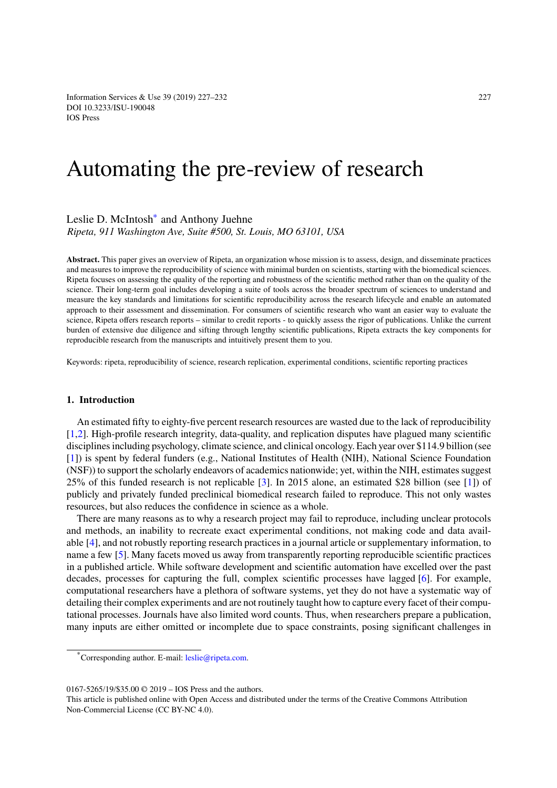# [Automatin](http://dx.doi.org/10.3233/ISU-190048)g the pre-review of research

# Leslie D. McIntosh<sup>∗</sup> and Anthony Juehne *Ripeta, 911 Washington Ave, Suite #500, St. Louis, MO 63101, USA*

**Abstract.** This paper give[s](#page-0-0) an overview of Ripeta, an organization whose mission is to assess, design, and disseminate practices and measures to improve the reproducibility of science with minimal burden on scientists, starting with the biomedical sciences. Ripeta focuses on assessing the quality of the reporting and robustness of the scientific method rather than on the quality of the science. Their long-term goal includes developing a suite of tools across the broader spectrum of sciences to understand and measure the key standards and limitations for scientific reproducibility across the research lifecycle and enable an automated approach to their assessment and dissemination. For consumers of scientific research who want an easier way to evaluate the science, Ripeta offers research reports – similar to credit reports - to quickly assess the rigor of publications. Unlike the current burden of extensive due diligence and sifting through lengthy scientific publications, Ripeta extracts the key components for reproducible research from the manuscripts and intuitively present them to you.

Keywords: ripeta, reproducibility of science, research replication, experimental conditions, scientific reporting practices

# **1. Introduction**

An estimated fifty to eighty-five percent research resources are wasted due to the lack of reproducibility [1,2]. High-profile research integrity, data-quality, and replication disputes have plagued many scientific disciplines including psychology, climate science, and clinical oncology. Each year over \$114.9 billion (see [1]) is spent by federal funders (e.g., National Institutes of Health (NIH), National Science Foundation (NSF)) to support the scholarly endeavors of academics nationwide; yet, within the NIH, estimates suggest 25% of this funded research is not replicable [3]. In 2015 alone, an estimated \$28 billion (see [1]) of publicly and privately funded preclinical biomedical research failed to reproduce. This not only wastes resources, but also reduces the confidence in science as a whole.

There are many reasons as to why a research project may fail to reproduce, including unclear protocols and methods, an inability to recreate exact experimental conditions, not making code and data available [4], and not robustly reporting research practices in a journal article or supplementary information, to name a few [5]. Many facets moved us away from transparently reporting reproducible scientific practices in a published article. While software development and scientific automation have excelled over the past decades, processes for capturing the full, complex scientific processes have lagged [6]. For example, computational researchers have a plethora of software systems, yet they do not have a systematic way of detailing their complex experiments and are not routinely taught how to capture every facet of their computational processes. Journals have also limited word counts. Thus, when researchers prepare a publication, many inputs are either omitted or incomplete due to space constraints, posing significant challenges in

<sup>\*</sup>Corresponding author. E-mail: leslie@ripeta.com.

<sup>0167-5265/19/\$35.00 © 2019 –</sup> IOS Press and the authors.

<span id="page-0-0"></span>This article is published online with Open Access and distributed under the terms of the Creative Commons Attribution Non-Commercial License (CC BY-[NC 4.0\).](mailto:leslie@ripeta.com)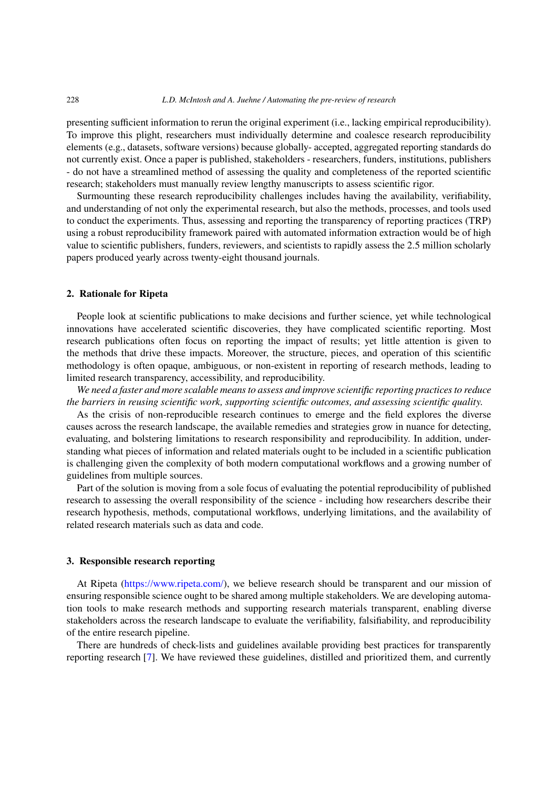presenting sufficient information to rerun the original experiment (i.e., lacking empirical reproducibility). To improve this plight, researchers must individually determine and coalesce research reproducibility elements (e.g., datasets, software versions) because globally- accepted, aggregated reporting standards do not currently exist. Once a paper is published, stakeholders - researchers, funders, institutions, publishers - do not have a streamlined method of assessing the quality and completeness of the reported scientific research; stakeholders must manually review lengthy manuscripts to assess scientific rigor.

Surmounting these research reproducibility challenges includes having the availability, verifiability, and understanding of not only the experimental research, but also the methods, processes, and tools used to conduct the experiments. Thus, assessing and reporting the transparency of reporting practices (TRP) using a robust reproducibility framework paired with automated information extraction would be of high value to scientific publishers, funders, reviewers, and scientists to rapidly assess the 2.5 million scholarly papers produced yearly across twenty-eight thousand journals.

# **2. Rationale for Ripeta**

People look at scientific publications to make decisions and further science, yet while technological innovations have accelerated scientific discoveries, they have complicated scientific reporting. Most research publications often focus on reporting the impact of results; yet little attention is given to the methods that drive these impacts. Moreover, the structure, pieces, and operation of this scientific methodology is often opaque, ambiguous, or non-existent in reporting of research methods, leading to limited research transparency, accessibility, and reproducibility.

*We need a faster and more scalable means to assess and improve scientific reporting practices to reduce the barriers in reusing scientific work, supporting scientific outcomes, and assessing scientific quality.*

As the crisis of non-reproducible research continues to emerge and the field explores the diverse causes across the research landscape, the available remedies and strategies grow in nuance for detecting, evaluating, and bolstering limitations to research responsibility and reproducibility. In addition, understanding what pieces of information and related materials ought to be included in a scientific publication is challenging given the complexity of both modern computational workflows and a growing number of guidelines from multiple sources.

Part of the solution is moving from a sole focus of evaluating the potential reproducibility of published research to assessing the overall responsibility of the science - including how researchers describe their research hypothesis, methods, computational workflows, underlying limitations, and the availability of related research materials such as data and code.

# **3. Responsible research reporting**

At Ripeta (https://www.ripeta.com/), we believe research should be transparent and our mission of ensuring responsible science ought to be shared among multiple stakeholders. We are developing automation tools to make research methods and supporting research materials transparent, enabling diverse stakeholders across the research landscape to evaluate the verifiability, falsifiability, and reproducibility of the entire r[esearch pipeline.](https://www.ripeta.com/)

There are hundreds of check-lists and guidelines available providing best practices for transparently reporting research [7]. We have reviewed these guidelines, distilled and prioritized them, and currently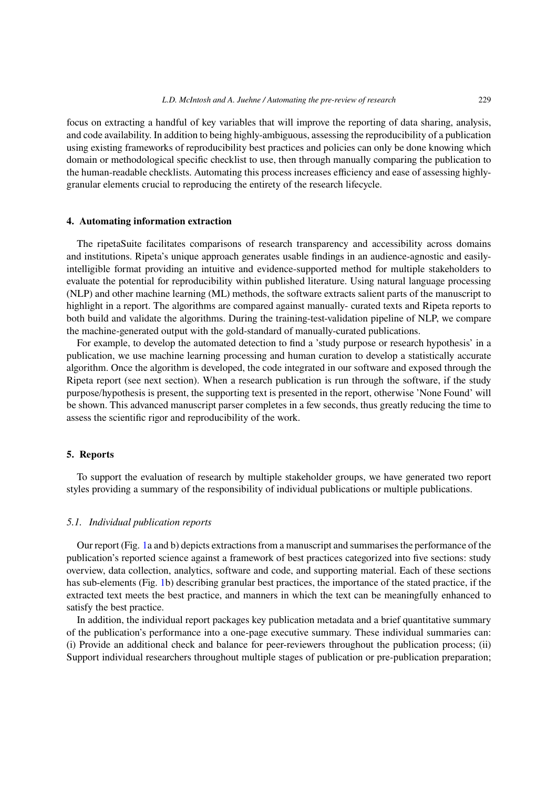focus on extracting a handful of key variables that will improve the reporting of data sharing, analysis, and code availability. In addition to being highly-ambiguous, assessing the reproducibility of a publication using existing frameworks of reproducibility best practices and policies can only be done knowing which domain or methodological specific checklist to use, then through manually comparing the publication to the human-readable checklists. Automating this process increases efficiency and ease of assessing highlygranular elements crucial to reproducing the entirety of the research lifecycle.

# **4. Automating information extraction**

The ripetaSuite facilitates comparisons of research transparency and accessibility across domains and institutions. Ripeta's unique approach generates usable findings in an audience-agnostic and easilyintelligible format providing an intuitive and evidence-supported method for multiple stakeholders to evaluate the potential for reproducibility within published literature. Using natural language processing (NLP) and other machine learning (ML) methods, the software extracts salient parts of the manuscript to highlight in a report. The algorithms are compared against manually- curated texts and Ripeta reports to both build and validate the algorithms. During the training-test-validation pipeline of NLP, we compare the machine-generated output with the gold-standard of manually-curated publications.

For example, to develop the automated detection to find a 'study purpose or research hypothesis' in a publication, we use machine learning processing and human curation to develop a statistically accurate algorithm. Once the algorithm is developed, the code integrated in our software and exposed through the Ripeta report (see next section). When a research publication is run through the software, if the study purpose/hypothesis is present, the supporting text is presented in the report, otherwise 'None Found' will be shown. This advanced manuscript parser completes in a few seconds, thus greatly reducing the time to assess the scientific rigor and reproducibility of the work.

# **5. Reports**

To support the evaluation of research by multiple stakeholder groups, we have generated two report styles providing a summary of the responsibility of individual publications or multiple publications.

# *5.1. Individual publication reports*

Our report (Fig. 1a and b) depicts extractions from a manuscript and summarises the performance of the publication's reported science against a framework of best practices categorized into five sections: study overview, data collection, analytics, software and code, and supporting material. Each of these sections has sub-elements (Fig. 1b) describing granular best practices, the importance of the stated practice, if the extracted text mee[ts](#page-3-0) the best practice, and manners in which the text can be meaningfully enhanced to satisfy the best practice.

In addition, the individual report packages key publication metadata and a brief quantitative summary of the publication's pe[rfo](#page-3-0)rmance into a one-page executive summary. These individual summaries can: (i) Provide an additional check and balance for peer-reviewers throughout the publication process; (ii) Support individual researchers throughout multiple stages of publication or pre-publication preparation;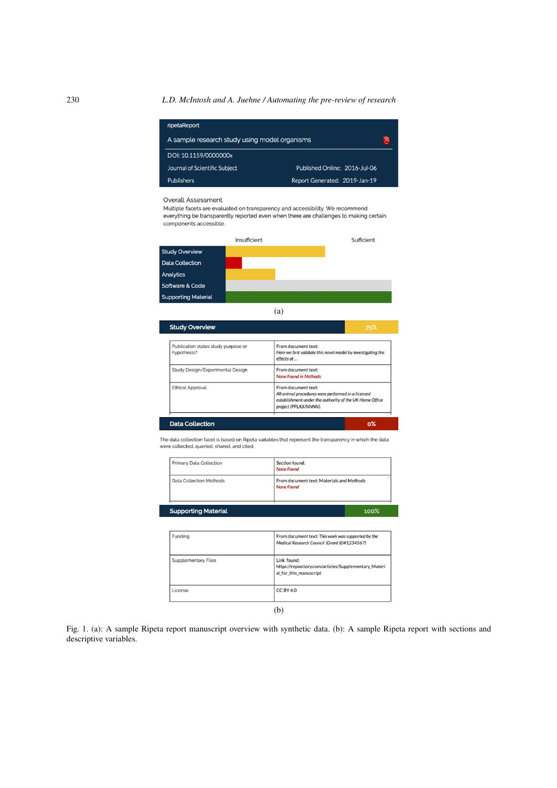<span id="page-3-0"></span>230 *L.D. McIntosh and A. Juehne / Automating the pre-review of research*

| ripetaReport                                  |                               |  |
|-----------------------------------------------|-------------------------------|--|
| A sample research study using model organisms |                               |  |
| DOI: 10.1159/0000000x                         |                               |  |
| Journal of Scientific Subject                 | Published Online: 2016-Jul-06 |  |
| Publishers                                    | Report Generated: 2019-Jan-19 |  |

#### Overall Assessment

Multiple facets are evaluated on transparency and accessibility. We recommend everything be transparently reported even when there are challenges to making certain components accessible.

|                            | Insufficient | Sufficient |
|----------------------------|--------------|------------|
| <b>Study Overview</b>      |              |            |
| <b>Data Collection</b>     |              |            |
| Analytics                  |              |            |
| Software & Code            |              |            |
| <b>Supporting Material</b> |              |            |

(a)

| From document text:<br>Here we first validate this novel model by investigating the<br>effects of                                                             |  |
|---------------------------------------------------------------------------------------------------------------------------------------------------------------|--|
| From document text:<br>None Found in Methods                                                                                                                  |  |
| From document text:<br>All animal procedures were performed in a licensed<br>establishment under the authority of the UK Home Office<br>project (PPLXX/NNNN). |  |
|                                                                                                                                                               |  |

The data collection facet is based on Ripeta variables that represent the transparency in which the data were collected, queried, shared, and cited.

| Primary Data Collection    | Section found:<br>None Found                            |
|----------------------------|---------------------------------------------------------|
| Data Collection Methods    | From document text: Materials and Methods<br>None Found |
| <b>Supporting Material</b> | 100 <sup>%</sup>                                        |

| Funding             | From document text: This work was supported by the<br>Medical Research Council (Grant ID#1234567) |
|---------------------|---------------------------------------------------------------------------------------------------|
| Supplementary Files | Link found:<br>https://repository.com/articles/Supplementary_Materi<br>al for this manuscript     |
| License             | CC BY 4.0                                                                                         |

(b)

Fig. 1. (a): A sample Ripeta report manuscript overview with synthetic data. (b): A sample Ripeta report with sections and descriptive variables.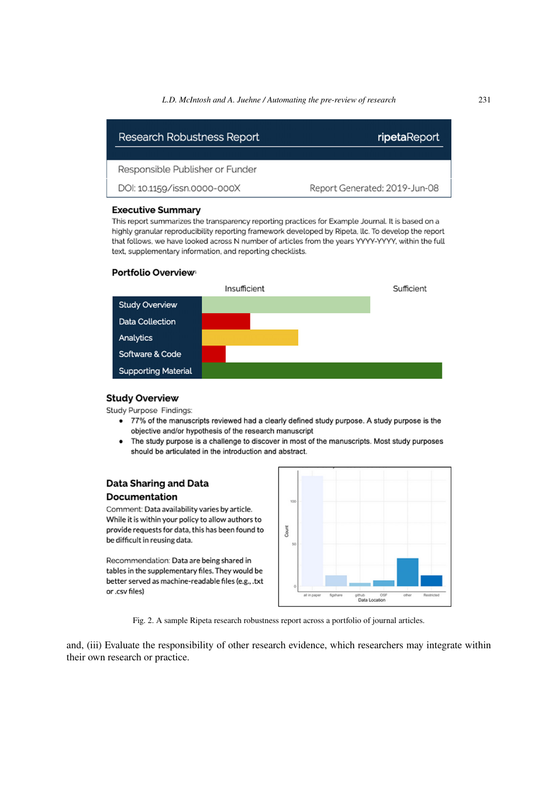#### *L.D. McIntosh and A. Juehne / Automating the pre-review of research* 231

<span id="page-4-0"></span>

| Research Robustness Report      | ripetaReport                  |  |
|---------------------------------|-------------------------------|--|
|                                 |                               |  |
| Responsible Publisher or Funder |                               |  |
| DOI: 10.1159/issn.0000-000X     | Report Generated: 2019-Jun-08 |  |

#### **Executive Summary**

This report summarizes the transparency reporting practices for Example Journal. It is based on a highly granular reproducibility reporting framework developed by Ripeta, llc. To develop the report that follows, we have looked across N number of articles from the years YYYY-YYYY, within the full text, supplementary information, and reporting checklists.

# Portfolio Overview



#### **Study Overview**

Study Purpose Findings:

- 77% of the manuscripts reviewed had a clearly defined study purpose. A study purpose is the objective and/or hypothesis of the research manuscript
- The study purpose is a challenge to discover in most of the manuscripts. Most study purposes should be articulated in the introduction and abstract.

# **Data Sharing and Data Documentation**

Comment: Data availability varies by article. While it is within your policy to allow authors to provide requests for data, this has been found to be difficult in reusing data.

Recommendation: Data are being shared in tables in the supplementary files. They would be better served as machine-readable files (e.g., .txt or .csv files)



Fig. 2. A sample Ripeta research robustness report across a portfolio of journal articles.

and, (iii) Evaluate the responsibility of other research evidence, which researchers may integrate within their own research or practice.